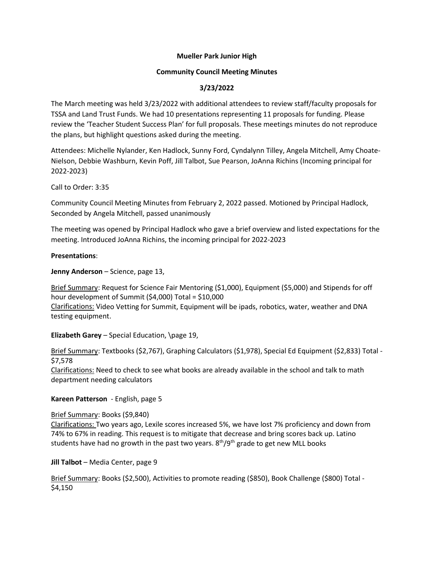### **Mueller Park Junior High**

### **Community Council Meeting Minutes**

# **3/23/2022**

The March meeting was held 3/23/2022 with additional attendees to review staff/faculty proposals for TSSA and Land Trust Funds. We had 10 presentations representing 11 proposals for funding. Please review the 'Teacher Student Success Plan' for full proposals. These meetings minutes do not reproduce the plans, but highlight questions asked during the meeting.

Attendees: Michelle Nylander, Ken Hadlock, Sunny Ford, Cyndalynn Tilley, Angela Mitchell, Amy Choate-Nielson, Debbie Washburn, Kevin Poff, Jill Talbot, Sue Pearson, JoAnna Richins (Incoming principal for 2022-2023)

Call to Order: 3:35

Community Council Meeting Minutes from February 2, 2022 passed. Motioned by Principal Hadlock, Seconded by Angela Mitchell, passed unanimously

The meeting was opened by Principal Hadlock who gave a brief overview and listed expectations for the meeting. Introduced JoAnna Richins, the incoming principal for 2022-2023

### **Presentations**:

**Jenny Anderson** – Science, page 13,

Brief Summary: Request for Science Fair Mentoring (\$1,000), Equipment (\$5,000) and Stipends for off hour development of Summit (\$4,000) Total = \$10,000 Clarifications: Video Vetting for Summit, Equipment will be ipads, robotics, water, weather and DNA testing equipment.

**Elizabeth Garey** – Special Education, \page 19,

Brief Summary: Textbooks (\$2,767), Graphing Calculators (\$1,978), Special Ed Equipment (\$2,833) Total - \$7,578

Clarifications: Need to check to see what books are already available in the school and talk to math department needing calculators

### **Kareen Patterson** - English, page 5

### Brief Summary: Books (\$9,840)

Clarifications: Two years ago, Lexile scores increased 5%, we have lost 7% proficiency and down from 74% to 67% in reading. This request is to mitigate that decrease and bring scores back up. Latino students have had no growth in the past two years.  $8<sup>th</sup>/9<sup>th</sup>$  grade to get new MLL books

### **Jill Talbot** – Media Center, page 9

Brief Summary: Books (\$2,500), Activities to promote reading (\$850), Book Challenge (\$800) Total - \$4,150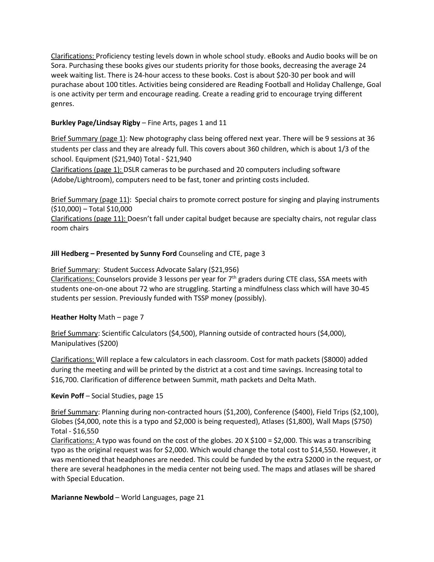Clarifications: Proficiency testing levels down in whole school study. eBooks and Audio books will be on Sora. Purchasing these books gives our students priority for those books, decreasing the average 24 week waiting list. There is 24-hour access to these books. Cost is about \$20-30 per book and will purachase about 100 titles. Activities being considered are Reading Football and Holiday Challenge, Goal is one activity per term and encourage reading. Create a reading grid to encourage trying different genres.

## **Burkley Page/Lindsay Rigby** – Fine Arts, pages 1 and 11

Brief Summary (page 1): New photography class being offered next year. There will be 9 sessions at 36 students per class and they are already full. This covers about 360 children, which is about 1/3 of the school. Equipment (\$21,940) Total - \$21,940

Clarifications (page 1): DSLR cameras to be purchased and 20 computers including software (Adobe/Lightroom), computers need to be fast, toner and printing costs included.

Brief Summary (page 11): Special chairs to promote correct posture for singing and playing instruments (\$10,000) – Total \$10,000

Clarifications (page 11): Doesn't fall under capital budget because are specialty chairs, not regular class room chairs

### **Jill Hedberg – Presented by Sunny Ford** Counseling and CTE, page 3

Brief Summary: Student Success Advocate Salary (\$21,956)

Clarifications: Counselors provide 3 lessons per year for  $7<sup>th</sup>$  graders during CTE class, SSA meets with students one-on-one about 72 who are struggling. Starting a mindfulness class which will have 30-45 students per session. Previously funded with TSSP money (possibly).

### **Heather Holty** Math – page 7

Brief Summary: Scientific Calculators (\$4,500), Planning outside of contracted hours (\$4,000), Manipulatives (\$200)

Clarifications: Will replace a few calculators in each classroom. Cost for math packets (\$8000) added during the meeting and will be printed by the district at a cost and time savings. Increasing total to \$16,700. Clarification of difference between Summit, math packets and Delta Math.

### **Kevin Poff** – Social Studies, page 15

Brief Summary: Planning during non-contracted hours (\$1,200), Conference (\$400), Field Trips (\$2,100), Globes (\$4,000, note this is a typo and \$2,000 is being requested), Atlases (\$1,800), Wall Maps (\$750) Total - \$16,550

Clarifications: A typo was found on the cost of the globes. 20 X \$100 = \$2,000. This was a transcribing typo as the original request was for \$2,000. Which would change the total cost to \$14,550. However, it was mentioned that headphones are needed. This could be funded by the extra \$2000 in the request, or there are several headphones in the media center not being used. The maps and atlases will be shared with Special Education.

### **Marianne Newbold** – World Languages, page 21